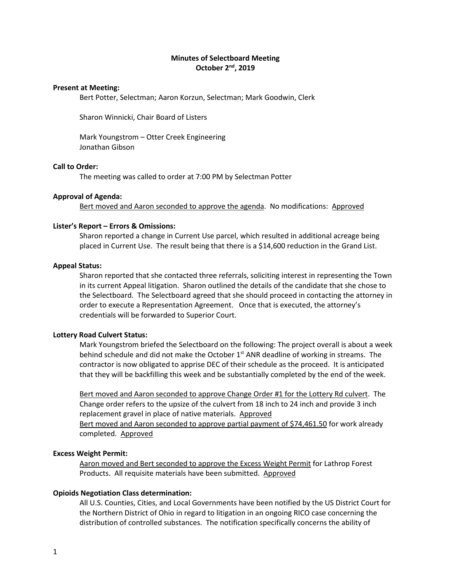# **Minutes of Selectboard Meeting October 2nd, 2019**

### **Present at Meeting:**

Bert Potter, Selectman; Aaron Korzun, Selectman; Mark Goodwin, Clerk

Sharon Winnicki, Chair Board of Listers

Mark Youngstrom – Otter Creek Engineering Jonathan Gibson

## **Call to Order:**

The meeting was called to order at 7:00 PM by Selectman Potter

### **Approval of Agenda:**

Bert moved and Aaron seconded to approve the agenda. No modifications: Approved

### **Lister's Report – Errors & Omissions:**

Sharon reported a change in Current Use parcel, which resulted in additional acreage being placed in Current Use. The result being that there is a \$14,600 reduction in the Grand List.

### **Appeal Status:**

Sharon reported that she contacted three referrals, soliciting interest in representing the Town in its current Appeal litigation. Sharon outlined the details of the candidate that she chose to the Selectboard. The Selectboard agreed that she should proceed in contacting the attorney in order to execute a Representation Agreement. Once that is executed, the attorney's credentials will be forwarded to Superior Court.

#### **Lottery Road Culvert Status:**

Mark Youngstrom briefed the Selectboard on the following: The project overall is about a week behind schedule and did not make the October 1<sup>st</sup> ANR deadline of working in streams. The contractor is now obligated to apprise DEC of their schedule as the proceed. It is anticipated that they will be backfilling this week and be substantially completed by the end of the week.

Bert moved and Aaron seconded to approve Change Order #1 for the Lottery Rd culvert. The Change order refers to the upsize of the culvert from 18 inch to 24 inch and provide 3 inch replacement gravel in place of native materials. Approved Bert moved and Aaron seconded to approve partial payment of \$74,461.50 for work already completed. Approved

### **Excess Weight Permit:**

Aaron moved and Bert seconded to approve the Excess Weight Permit for Lathrop Forest Products. All requisite materials have been submitted. Approved

## **Opioids Negotiation Class determination:**

All U.S. Counties, Cities, and Local Governments have been notified by the US District Court for the Northern District of Ohio in regard to litigation in an ongoing RICO case concerning the distribution of controlled substances. The notification specifically concerns the ability of